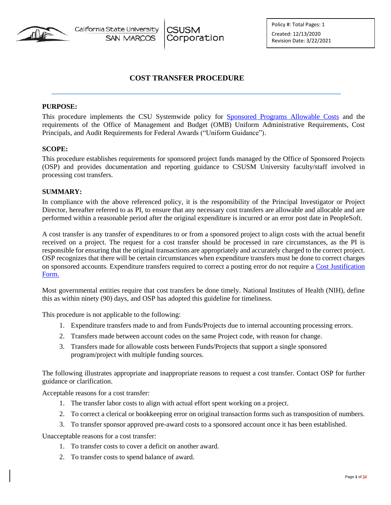California State University **CSUSM SAN MARCOS** Corporation Policy #: Total Pages: 1 Created: 12/13/2020 Revision Date: 3/22/2021

# **COST TRANSFER PROCEDURE**

### **PURPOSE:**

This procedure implements the CSU Systemwide policy for [Sponsored Programs Allowable Costs](https://calstate.policystat.com/policy/8543214/latest/) and the requirements of the Office of Management and Budget (OMB) Uniform Administrative Requirements, Cost Principals, and Audit Requirements for Federal Awards ("Uniform Guidance").

### **SCOPE:**

This procedure establishes requirements for sponsored project funds managed by the Office of Sponsored Projects (OSP) and provides documentation and reporting guidance to CSUSM University faculty/staff involved in processing cost transfers.

### **SUMMARY:**

In compliance with the above referenced policy, it is the responsibility of the Principal Investigator or Project Director, hereafter referred to as PI, to ensure that any necessary cost transfers are allowable and allocable and are performed within a reasonable period after the original expenditure is incurred or an error post date in PeopleSoft.

A cost transfer is any transfer of expenditures to or from a sponsored project to align costs with the actual benefit received on a project. The request for a cost transfer should be processed in rare circumstances, as the PI is responsible for ensuring that the original transactions are appropriately and accurately charged to the correct project. OSP recognizes that there will be certain circumstances when expenditure transfers must be done to correct charges on sponsored accounts. Expenditure transfers required to correct a posting error do not require a [Cost Justification](https://www.csusm.edu/corp/sponsoredprojects/cost_justification_form.pdf) [Form.](https://www.csusm.edu/corp/sponsoredprojects/cost_justification_form.pdf)

Most governmental entities require that cost transfers be done timely. National Institutes of Health (NIH), define this as within ninety (90) days, and OSP has adopted this guideline for timeliness.

This procedure is not applicable to the following:

- 1. Expenditure transfers made to and from Funds/Projects due to internal accounting processing errors.
- 2. Transfers made between account codes on the same Project code, with reason for change.
- 3. Transfers made for allowable costs between Funds/Projects that support a single sponsored program/project with multiple funding sources.

The following illustrates appropriate and inappropriate reasons to request a cost transfer. Contact OSP for further guidance or clarification.

Acceptable reasons for a cost transfer:

- 1. The transfer labor costs to align with actual effort spent working on a project.
- 2. To correct a clerical or bookkeeping error on original transaction forms such as transposition of numbers.
- 3. To transfer sponsor approved pre-award costs to a sponsored account once it has been established.

Unacceptable reasons for a cost transfer:

- 1. To transfer costs to cover a deficit on another award.
- 2. To transfer costs to spend balance of award.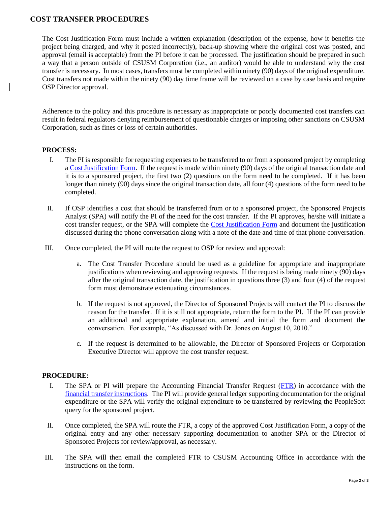# **COST TRANSFER PROCEDURES**

The Cost Justification Form must include a written explanation (description of the expense, how it benefits the project being charged, and why it posted incorrectly), back-up showing where the original cost was posted, and approval (email is acceptable) from the PI before it can be processed. The justification should be prepared in such a way that a person outside of CSUSM Corporation (i.e., an auditor) would be able to understand why the cost transfer is necessary. In most cases, transfers must be completed within ninety (90) days of the original expenditure. Cost transfers not made within the ninety (90) day time frame will be reviewed on a case by case basis and require OSP Director approval.

Adherence to the policy and this procedure is necessary as inappropriate or poorly documented cost transfers can result in federal regulators denying reimbursement of questionable charges or imposing other sanctions on CSUSM Corporation, such as fines or loss of certain authorities.

### **PROCESS:**

- I. The PI is responsible for requesting expenses to be transferred to or from a sponsored project by completing a [Cost Justification Form.](https://www.csusm.edu/corp/sponsoredprojects/cost_justification_form.pdf) If the request is made within ninety (90) days of the original transaction date and it is to a sponsored project, the first two (2) questions on the form need to be completed. If it has been longer than ninety (90) days since the original transaction date, all four (4) questions of the form need to be completed.
- II. If OSP identifies a cost that should be transferred from or to a sponsored project, the Sponsored Projects Analyst (SPA) will notify the PI of the need for the cost transfer. If the PI approves, he/she will initiate a cost transfer request, or the SPA will complete the [Cost Justification Form](https://www.csusm.edu/corp/sponsoredprojects/cost_justification_form.pdf) and document the justification discussed during the phone conversation along with a note of the date and time of that phone conversation.
- III. Once completed, the PI will route the request to OSP for review and approval:
	- a. The Cost Transfer Procedure should be used as a guideline for appropriate and inappropriate justifications when reviewing and approving requests. If the request is being made ninety (90) days after the original transaction date, the justification in questions three (3) and four (4) of the request form must demonstrate extenuating circumstances.
	- b. If the request is not approved, the Director of Sponsored Projects will contact the PI to discuss the reason for the transfer. If it is still not appropriate, return the form to the PI. If the PI can provide an additional and appropriate explanation, amend and initial the form and document the conversation. For example, "As discussed with Dr. Jones on August 10, 2010."
	- c. If the request is determined to be allowable, the Director of Sponsored Projects or Corporation Executive Director will approve the cost transfer request.

### **PROCEDURE:**

- I. The SPA or PI will prepare the Accounting Financial Transfer Request [\(FTR\)](https://www.csusm.edu/fs/forms/fin-xfer.xlsx) in accordance with the [financial transfer instructions.](https://www.csusm.edu/fs/financialxfer_faq.html) The PI will provide general ledger supporting documentation for the original expenditure or the SPA will verify the original expenditure to be transferred by reviewing the PeopleSoft query for the sponsored project.
- II. Once completed, the SPA will route the FTR, a copy of the approved Cost Justification Form, a copy of the original entry and any other necessary supporting documentation to another SPA or the Director of Sponsored Projects for review/approval, as necessary.
- III. The SPA will then email the completed FTR to CSUSM Accounting Office in accordance with the instructions on the form.